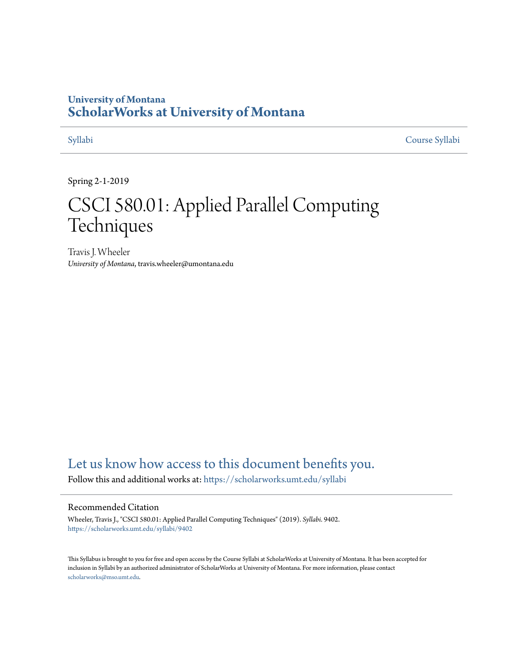### **University of Montana [ScholarWorks at University of Montana](https://scholarworks.umt.edu?utm_source=scholarworks.umt.edu%2Fsyllabi%2F9402&utm_medium=PDF&utm_campaign=PDFCoverPages)**

[Syllabi](https://scholarworks.umt.edu/syllabi?utm_source=scholarworks.umt.edu%2Fsyllabi%2F9402&utm_medium=PDF&utm_campaign=PDFCoverPages) [Course Syllabi](https://scholarworks.umt.edu/course_syllabi?utm_source=scholarworks.umt.edu%2Fsyllabi%2F9402&utm_medium=PDF&utm_campaign=PDFCoverPages)

Spring 2-1-2019

# CSCI 580.01: Applied Parallel Computing Techniques

Travis J. Wheeler *University of Montana*, travis.wheeler@umontana.edu

## [Let us know how access to this document benefits you.](https://goo.gl/forms/s2rGfXOLzz71qgsB2)

Follow this and additional works at: [https://scholarworks.umt.edu/syllabi](https://scholarworks.umt.edu/syllabi?utm_source=scholarworks.umt.edu%2Fsyllabi%2F9402&utm_medium=PDF&utm_campaign=PDFCoverPages)

#### Recommended Citation

Wheeler, Travis J., "CSCI 580.01: Applied Parallel Computing Techniques" (2019). *Syllabi*. 9402. [https://scholarworks.umt.edu/syllabi/9402](https://scholarworks.umt.edu/syllabi/9402?utm_source=scholarworks.umt.edu%2Fsyllabi%2F9402&utm_medium=PDF&utm_campaign=PDFCoverPages)

This Syllabus is brought to you for free and open access by the Course Syllabi at ScholarWorks at University of Montana. It has been accepted for inclusion in Syllabi by an authorized administrator of ScholarWorks at University of Montana. For more information, please contact [scholarworks@mso.umt.edu](mailto:scholarworks@mso.umt.edu).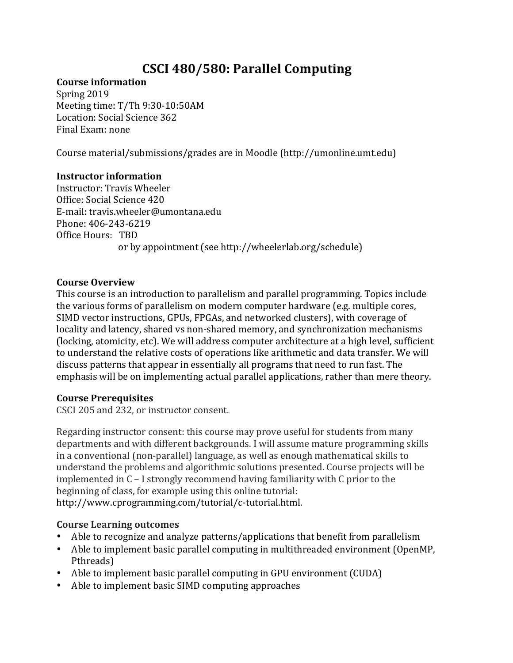# **CSCI 480/580: Parallel Computing**

#### **Course information**

Meeting time: T/Th 9:30-10:50AM Final Exam: none Spring 2019 Location: Social Science 362

 Course material/submissions/grades are in Moodle (http://umonline.umt.edu)

#### **Instructor information**

Office Hours: TBD or by appointment (see http://wheelerlab.org/schedule) Instructor: Travis Wheeler Office: Social Science 420 E-mail: travis.wheeler@umontana.edu Phone: 406-243-6219

#### **Course Overview**

This course is an introduction to parallelism and parallel programming. Topics include the various forms of parallelism on modern computer hardware (e.g. multiple cores, SIMD vector instructions, GPUs, FPGAs, and networked clusters), with coverage of locality and latency, shared vs non-shared memory, and synchronization mechanisms (locking, atomicity, etc). We will address computer architecture at a high level, sufficient to understand the relative costs of operations like arithmetic and data transfer. We will discuss patterns that appear in essentially all programs that need to run fast. The emphasis will be on implementing actual parallel applications, rather than mere theory.

#### **Course Prerequisites**

CSCI 205 and 232, or instructor consent.

Regarding instructor consent: this course may prove useful for students from many departments and with different backgrounds. I will assume mature programming skills in a conventional (non-parallel) language, as well as enough mathematical skills to understand the problems and algorithmic solutions presented. Course projects will be implemented in C – I strongly recommend having familiarity with C prior to the beginning of class, for example using this online tutorial: http://www.cprogramming.com/tutorial/c-tutorial.html.

#### **Course Learning outcomes**

- Able to recognize and analyze patterns/applications that benefit from parallelism
- Able to implement basic parallel computing in multithreaded environment (OpenMP, Pthreads)
- Able to implement basic parallel computing in GPU environment (CUDA)
- • Able to implement basic SIMD computing approaches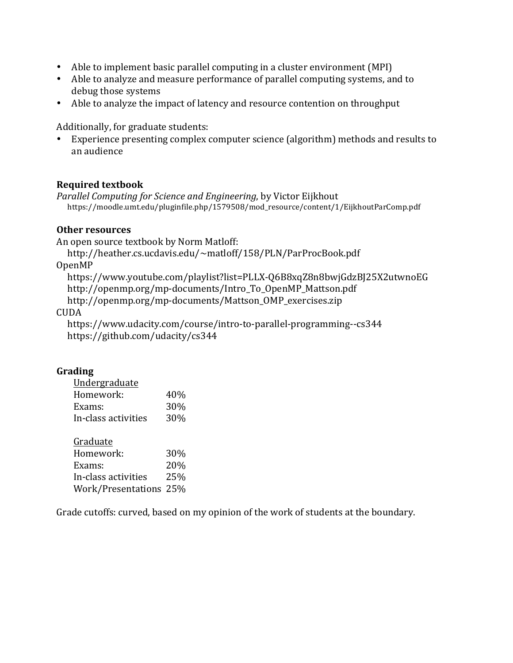- Able to implement basic parallel computing in a cluster environment (MPI)
- Able to analyze and measure performance of parallel computing systems, and to debug those systems
- Able to analyze the impact of latency and resource contention on throughput

 Additionally, for graduate students:

 • Experience presenting complex computer science (algorithm) methods and results to an audience

#### **Required textbook**

 *Parallel Computing for Science and Engineering*, by Victor Eijkhout https://moodle.umt.edu/pluginfile.php/1579508/mod\_resource/content/1/EijkhoutParComp.pdf

#### **Other resources**

 An open source textbook by Norm Matloff:

http://heather.cs.ucdavis.edu/~matloff/158/PLN/ParProcBook.pdf

OpenMP

 https://www.youtube.com/playlist?list=PLLX-Q6B8xqZ8n8bwjGdzBJ25X2utwnoEG http://openmp.org/mp-documents/Intro\_To\_OpenMP\_Mattson.pdf http://openmp.org/mp-documents/Mattson\_OMP\_exercises.zip

CUDA

 https://www.udacity.com/course/intro-to-parallel-programming--cs344 https://github.com/udacity/cs344

#### **Grading**

| Undergraduate          |     |
|------------------------|-----|
| Homework:              | 40% |
| Exams:                 | 30% |
| In-class activities    | 30% |
|                        |     |
| Graduate               |     |
| Homework:              | 30% |
| Exams:                 | 20% |
| In-class activities    | 25% |
| Work/Presentations 25% |     |

Grade cutoffs: curved, based on my opinion of the work of students at the boundary.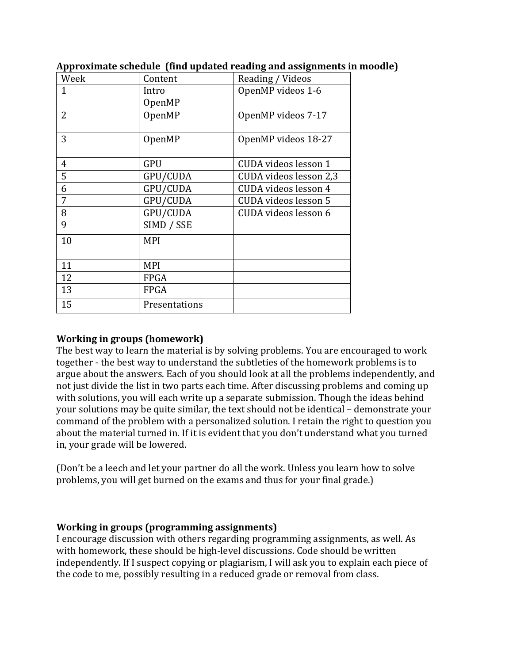| Week           | Content       | Reading / Videos       |
|----------------|---------------|------------------------|
| 1              | Intro         | OpenMP videos 1-6      |
|                | OpenMP        |                        |
| $\overline{2}$ | OpenMP        | OpenMP videos 7-17     |
|                |               |                        |
| 3              | OpenMP        | OpenMP videos 18-27    |
|                |               |                        |
| $\overline{4}$ | <b>GPU</b>    | CUDA videos lesson 1   |
| 5              | GPU/CUDA      | CUDA videos lesson 2,3 |
| 6              | GPU/CUDA      | CUDA videos lesson 4   |
| 7              | GPU/CUDA      | CUDA videos lesson 5   |
| 8              | GPU/CUDA      | CUDA videos lesson 6   |
| 9              | SIMD / SSE    |                        |
| 10             | <b>MPI</b>    |                        |
|                |               |                        |
| 11             | <b>MPI</b>    |                        |
| 12             | FPGA          |                        |
| 13             | <b>FPGA</b>   |                        |
| 15             | Presentations |                        |

#### **Approximate schedule (find updated reading and assignments in moodle)**

#### **Working in groups (homework)**

 The best way to learn the material is by solving problems. You are encouraged to work together - the best way to understand the subtleties of the homework problems is to argue about the answers. Each of you should look at all the problems independently, and not just divide the list in two parts each time. After discussing problems and coming up with solutions, you will each write up a separate submission. Though the ideas behind your solutions may be quite similar, the text should not be identical – demonstrate your command of the problem with a personalized solution. I retain the right to question you about the material turned in. If it is evident that you don't understand what you turned in, your grade will be lowered.

 problems, you will get burned on the exams and thus for your final grade.) (Don't be a leech and let your partner do all the work. Unless you learn how to solve

#### **Working in groups (programming assignments)**

 I encourage discussion with others regarding programming assignments, as well. As with homework, these should be high-level discussions. Code should be written independently. If I suspect copying or plagiarism, I will ask you to explain each piece of the code to me, possibly resulting in a reduced grade or removal from class.